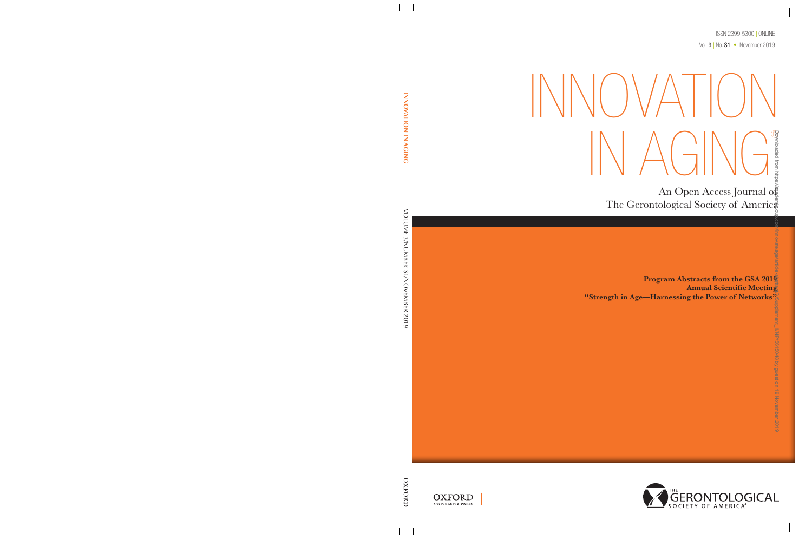ISSN 2399-5300 **|** ONLINE Vol. 3 **|** No. S1 • November 2019

# $\| \big| \setminus \big| \setminus \big|$   $\setminus \big| \big|$ IN AGING® Note that Controll and Controller the Controller of American<br>The Gerontological Society of American<br>"Strength in Age—Harnessing the Power of Networks"<br>"Strength in Age—Harnessing the Power of Networks"<br>By guest of the Cont

An Open Access Journal of The Gerontological Society of America

Program Abstracts from the GSA 2019 Annual Scientific Meeting



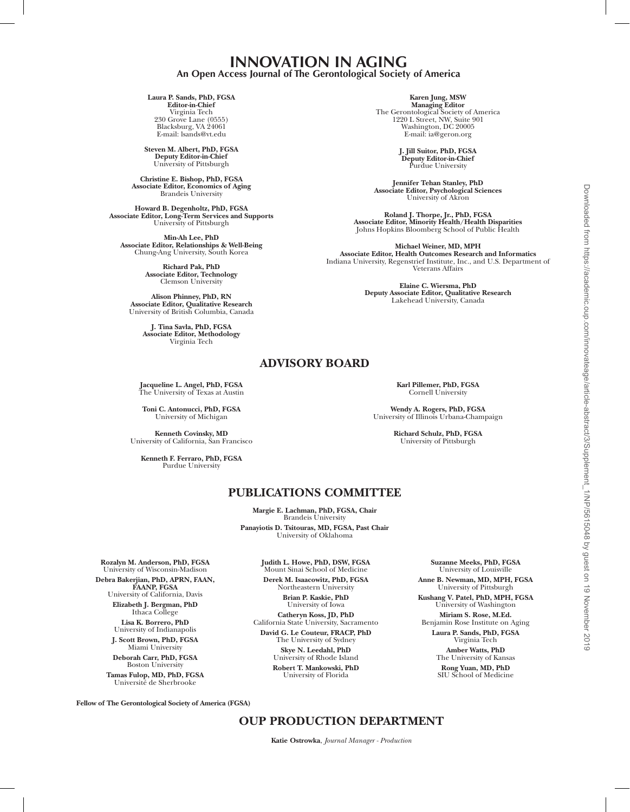# **INNOVATION IN AGING An Open Access Journal of The Gerontological Society of America**

#### **Laura P. Sands, PhD, FGSA Editor-in-Chief** Virginia Tech 230 Grove Lane (0555) Blacksburg, VA 24061 E-mail: lsands@vt.edu

**Steven M. Albert, PhD, FGSA Deputy Editor-in-Chief** University of Pittsburgh

**Christine E. Bishop, PhD, FGSA Associate Editor, Economics of Aging** Brandeis University

**Howard B. Degenholtz, PhD, FGSA Associate Editor, Long-Term Services and Supports** University of Pittsburgh

**Min-Ah Lee, PhD Associate Editor, Relationships & Well-Being** Chung-Ang University, South Korea

> **Richard Pak, PhD Associate Editor, Technology** Clemson University

**Alison Phinney, PhD, RN Associate Editor, Qualitative Research** University of British Columbia, Canada

**J. Tina Savla, PhD, FGSA Associate Editor, Methodology** Virginia Tech

**Karen Jung, MSW Managing Editor** The Gerontological Society of America 1220 L Street, NW, Suite 901 Washington, DC 20005 E-mail: ia@geron.org

> **J. Jill Suitor, PhD, FGSA Deputy Editor-in-Chief** Purdue University

**Jennifer Tehan Stanley, PhD Associate Editor, Psychological Sciences** University of Akron

**Roland J. Thorpe, Jr., PhD, FGSA Associate Editor, Minority Health/Health Disparities** Johns Hopkins Bloomberg School of Public Health

**Michael Weiner, MD, MPH Associate Editor, Health Outcomes Research and Informatics** Indiana University, Regenstrief Institute, Inc., and U.S. Department of Veterans Affairs

> **Elaine C. Wiersma, PhD Deputy Associate Editor, Qualitative Research** Lakehead University, Canada

**Jacqueline L. Angel, PhD, FGSA** The University of Texas at Austin

**Toni C. Antonucci, PhD, FGSA** University of Michigan

**Kenneth Covinsky, MD** University of California, San Francisco

**Kenneth F. Ferraro, PhD, FGSA** Purdue University

**Karl Pillemer, PhD, FGSA** Cornell University

**Wendy A. Rogers, PhD, FGSA** University of Illinois Urbana-Champaign

> **Richard Schulz, PhD, FGSA** University of Pittsburgh

# **PUBLICATIONS COMMITTEE**

**ADVISORY BOARD**

**Margie E. Lachman, PhD, FGSA, Chair**  Brandeis University **Panayiotis D. Tsitouras, MD, FGSA, Past Chair** University of Oklahoma

**Rozalyn M. Anderson, PhD, FGSA** University of Wisconsin-Madison **Debra Bakerjian, PhD, APRN, FAAN, FAANP, FGSA** 

University of California, Davis **Elizabeth J. Bergman, PhD**  Ithaca College

**Lisa K. Borrero, PhD**  University of Indianapolis **J. Scott Brown, PhD, FGSA** 

Miami University **Deborah Carr, PhD, FGSA** 

Boston University **Tamas Fulop, MD, PhD, FGSA** Université de Sherbrooke

**Judith L. Howe, PhD, DSW, FGSA** Mount Sinai School of Medicine **Derek M. Isaacowitz, PhD, FGSA** Northeastern University **Brian P. Kaskie, PhD** University of Iowa **Catheryn Koss, JD, PhD** California State University, Sacramento **David G. Le Couteur, FRACP, PhD** The University of Sydney **Skye N. Leedahl, PhD** University of Rhode Island **Robert T. Mankowski, PhD** University of Florida

**Suzanne Meeks, PhD, FGSA** University of Louisville **Anne B. Newman, MD, MPH, FGSA** University of Pittsburgh **Kushang V. Patel, PhD, MPH, FGSA** University of Washington **Miriam S. Rose, M.Ed.** Benjamin Rose Institute on Aging **Laura P. Sands, PhD, FGSA**  Virginia Tech **Amber Watts, PhD** The University of Kansas **Rong Yuan, MD, PhD** SIU School of Medicine

**Fellow of The Gerontological Society of America (FGSA)** 

# **OUP PRODUCTION DEPARTMENT**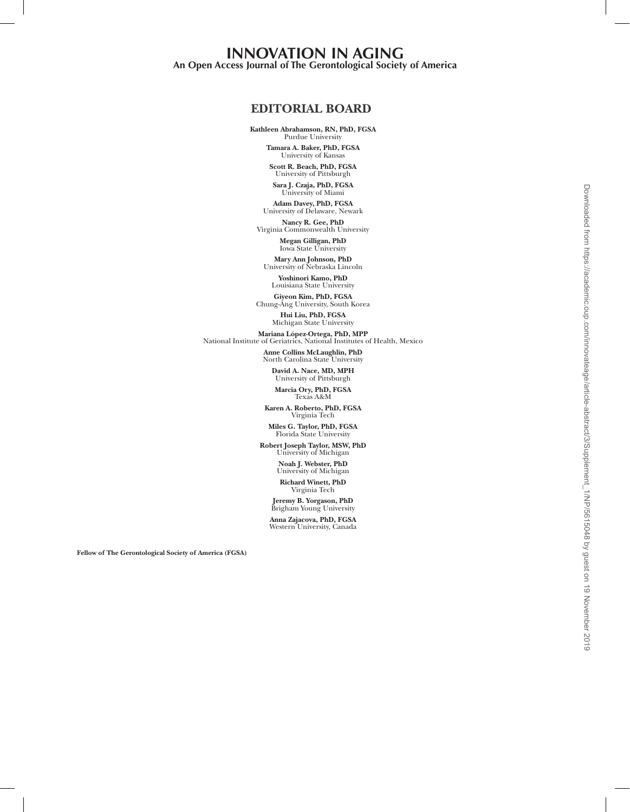# **THE GERONTOLOGIST INNOVATION IN AGING A Journal of The Gerontological Society of America An Open Access Journal of The Gerontological Society of America**

# **EDITORIAL BOARD**

Kathleen Abrahamson, RN, PhD, FGSA *University of Minnesota*  Purdue University

> amara A. Baker, PhD, PO.<br>University of Kansas **Tamara A. Baker, PhD, FGSA**

*Johns Hopkins University* **Scott R. Beach, PhD, FGSA** University of Pittsburgh *University of Denver*  **Sara J. Czaja, PhD, FGSA** University of Miami

Adam Davey, PhD, FGSA *West Virginia University* **Adam Davey, PhD, FGSA** University of Delaware, Newark

Virginia Commonwealth University **Nancy R. Gee, PhD**

*University of Denver* **Megan Gilligan, PhD** Were Ann Tehneen, PhD Iowa State University

*University of South Florida* **Mary Ann Johnson, PhD** University of Nebraska Lincoln

**Yoshinori Kamo, PhD** Louisiana State University

*Oregon State University*  **Giyeon Kim, PhD, FGSA** Chung-Ang University, South Korea

> *University of Wisconsin* **Hui Liu, PhD, FGSA** Michigan State University

Mariana López-Ortega, PhD, MPP *Boston University* National Institute of Geriatrics, National Institutes of Health, Mexico

> Allie Collins McLaughlin, PhD, North Carolina State University **Anne Collins McLaughlin, PhD**

*University of South Florida* **David A. Nace, MD, MPH** University of Pittsburgh

**Marcia Ory, PhD, FGSA** Texas A&M

Karen A. Roberto, PhD, FGSA *University of Iowa*  Virginia Tech

Florida State University **Miles G. Taylor, PhD, FGSA**

*University of Nebraska at Omaha*  **Robert Joseph Taylor, MSW, PhD** University of Michigan

Noah J. Webster, PhD *University of Colorado, Colorado Springs* University of Michigan

#### **Richard Winett, PhD** *Wayne State University* Virginia Tech

Brigham Young University *University of Southern California* **Anna Zajacova, PhD, FGSA Jeremy B. Yorgason, PhD** Brigham Young University

Western University, Canada

Fellow of The Gerontological Society of America (FGSA)